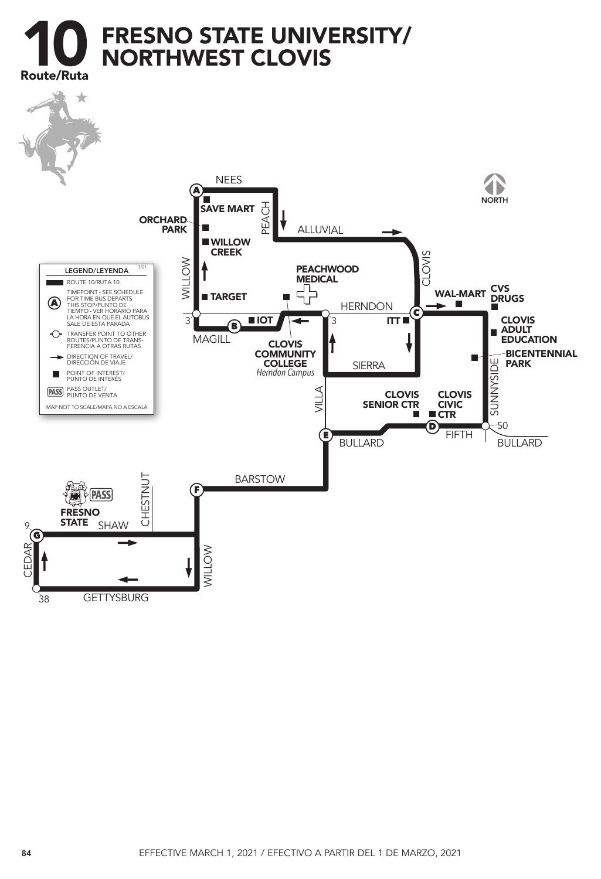

**GETTYSBURG** 38